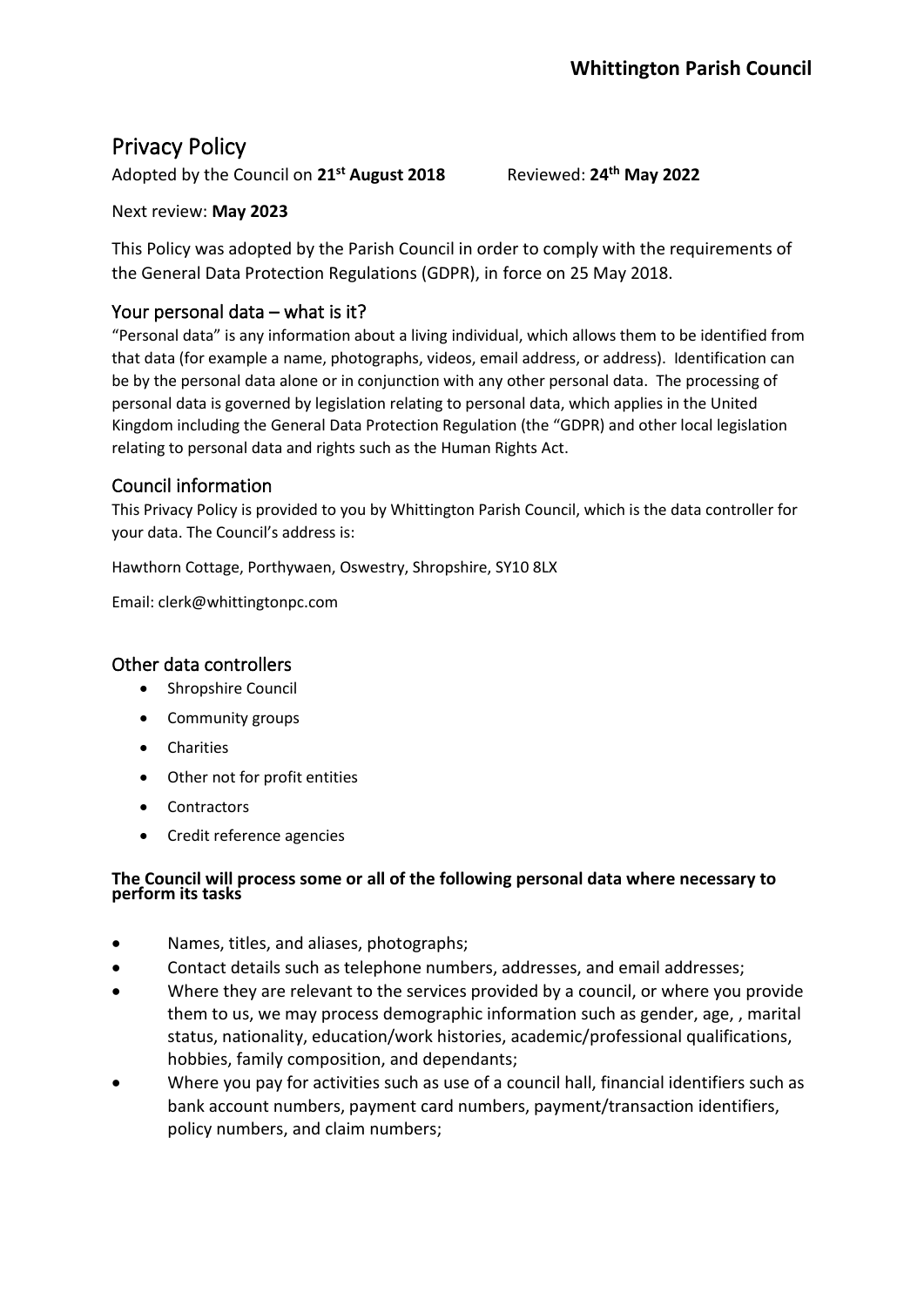# Privacy Policy

Adopted by the Council on 21<sup>st</sup> August 2018

**th May 2022**

#### Next review: **May 2023**

This Policy was adopted by the Parish Council in order to comply with the requirements of the General Data Protection Regulations (GDPR), in force on 25 May 2018.

# Your personal data – what is it?

"Personal data" is any information about a living individual, which allows them to be identified from that data (for example a name, photographs, videos, email address, or address). Identification can be by the personal data alone or in conjunction with any other personal data. The processing of personal data is governed by legislation relating to personal data, which applies in the United Kingdom including the General Data Protection Regulation (the "GDPR) and other local legislation relating to personal data and rights such as the Human Rights Act.

# Council information

This Privacy Policy is provided to you by Whittington Parish Council, which is the data controller for your data. The Council's address is:

Hawthorn Cottage, Porthywaen, Oswestry, Shropshire, SY10 8LX

Email: clerk@whittingtonpc.com

# Other data controllers

- Shropshire Council
- Community groups
- Charities
- Other not for profit entities
- Contractors
- Credit reference agencies

#### **The Council will process some or all of the following personal data where necessary to perform its tasks**

- Names, titles, and aliases, photographs;
- Contact details such as telephone numbers, addresses, and email addresses;
- Where they are relevant to the services provided by a council, or where you provide them to us, we may process demographic information such as gender, age, , marital status, nationality, education/work histories, academic/professional qualifications, hobbies, family composition, and dependants;
- Where you pay for activities such as use of a council hall, financial identifiers such as bank account numbers, payment card numbers, payment/transaction identifiers, policy numbers, and claim numbers;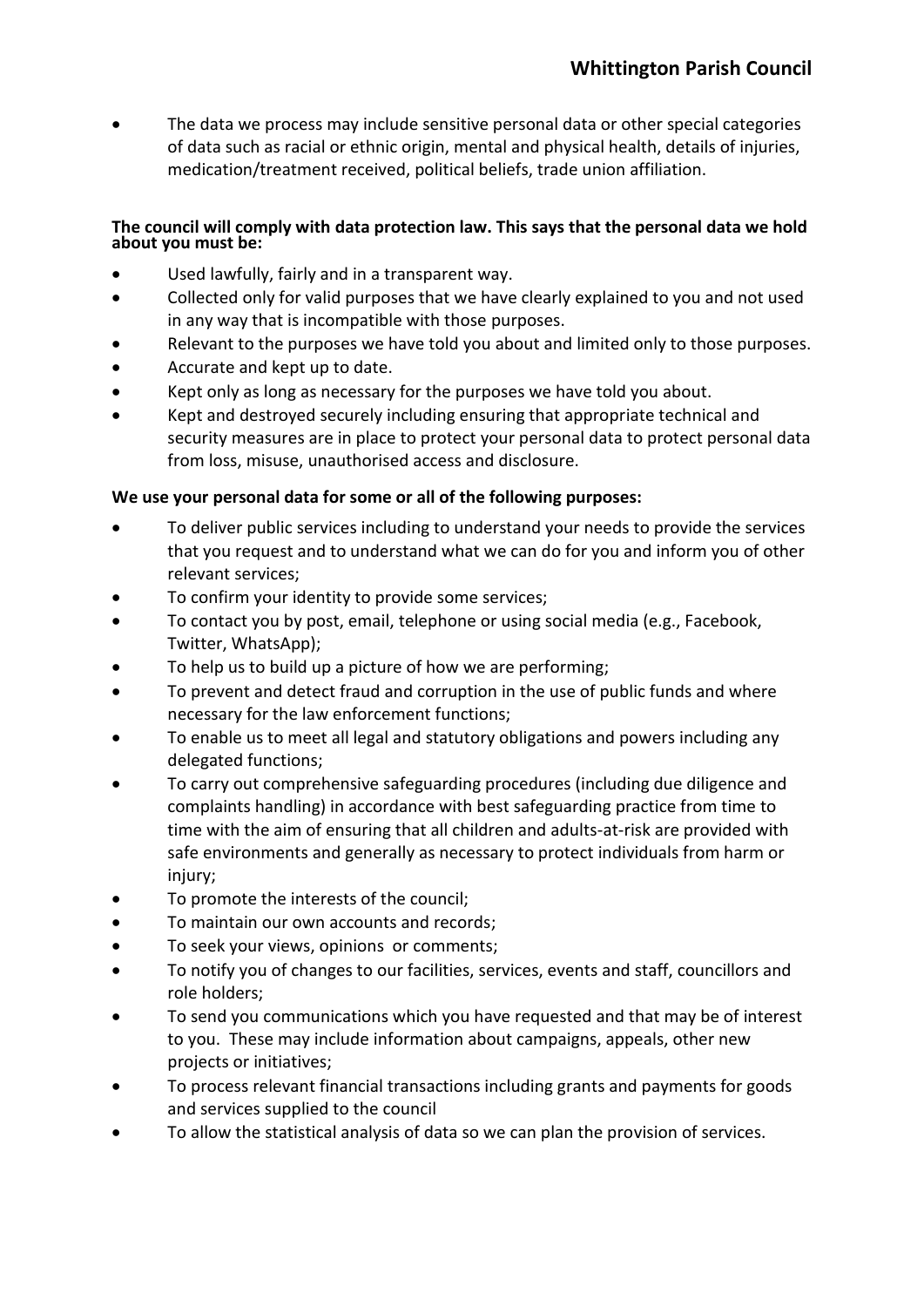• The data we process may include sensitive personal data or other special categories of data such as racial or ethnic origin, mental and physical health, details of injuries, medication/treatment received, political beliefs, trade union affiliation.

#### **The council will comply with data protection law. This says that the personal data we hold about you must be:**

- Used lawfully, fairly and in a transparent way.
- Collected only for valid purposes that we have clearly explained to you and not used in any way that is incompatible with those purposes.
- Relevant to the purposes we have told you about and limited only to those purposes.
- Accurate and kept up to date.
- Kept only as long as necessary for the purposes we have told you about.
- Kept and destroyed securely including ensuring that appropriate technical and security measures are in place to protect your personal data to protect personal data from loss, misuse, unauthorised access and disclosure.

#### **We use your personal data for some or all of the following purposes:**

- To deliver public services including to understand your needs to provide the services that you request and to understand what we can do for you and inform you of other relevant services;
- To confirm your identity to provide some services;
- To contact you by post, email, telephone or using social media (e.g., Facebook, Twitter, WhatsApp);
- To help us to build up a picture of how we are performing;
- To prevent and detect fraud and corruption in the use of public funds and where necessary for the law enforcement functions;
- To enable us to meet all legal and statutory obligations and powers including any delegated functions;
- To carry out comprehensive safeguarding procedures (including due diligence and complaints handling) in accordance with best safeguarding practice from time to time with the aim of ensuring that all children and adults-at-risk are provided with safe environments and generally as necessary to protect individuals from harm or injury;
- To promote the interests of the council;
- To maintain our own accounts and records;
- To seek your views, opinions or comments;
- To notify you of changes to our facilities, services, events and staff, councillors and role holders;
- To send you communications which you have requested and that may be of interest to you. These may include information about campaigns, appeals, other new projects or initiatives;
- To process relevant financial transactions including grants and payments for goods and services supplied to the council
- To allow the statistical analysis of data so we can plan the provision of services.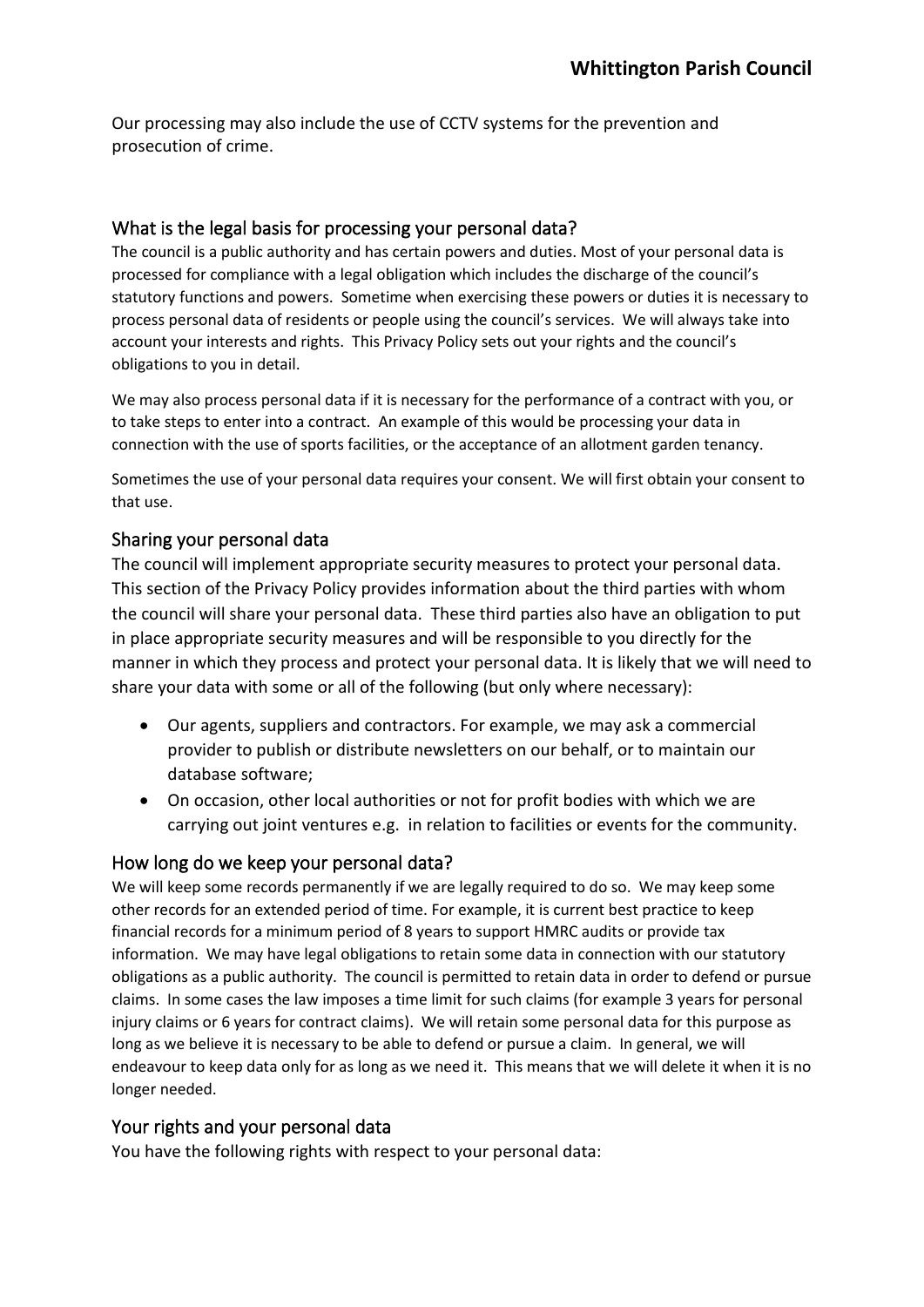Our processing may also include the use of CCTV systems for the prevention and prosecution of crime.

## What is the legal basis for processing your personal data?

The council is a public authority and has certain powers and duties. Most of your personal data is processed for compliance with a legal obligation which includes the discharge of the council's statutory functions and powers. Sometime when exercising these powers or duties it is necessary to process personal data of residents or people using the council's services. We will always take into account your interests and rights. This Privacy Policy sets out your rights and the council's obligations to you in detail.

We may also process personal data if it is necessary for the performance of a contract with you, or to take steps to enter into a contract. An example of this would be processing your data in connection with the use of sports facilities, or the acceptance of an allotment garden tenancy.

Sometimes the use of your personal data requires your consent. We will first obtain your consent to that use.

### Sharing your personal data

The council will implement appropriate security measures to protect your personal data. This section of the Privacy Policy provides information about the third parties with whom the council will share your personal data. These third parties also have an obligation to put in place appropriate security measures and will be responsible to you directly for the manner in which they process and protect your personal data. It is likely that we will need to share your data with some or all of the following (but only where necessary):

- Our agents, suppliers and contractors. For example, we may ask a commercial provider to publish or distribute newsletters on our behalf, or to maintain our database software;
- On occasion, other local authorities or not for profit bodies with which we are carrying out joint ventures e.g. in relation to facilities or events for the community.

#### How long do we keep your personal data?

We will keep some records permanently if we are legally required to do so. We may keep some other records for an extended period of time. For example, it is current best practice to keep financial records for a minimum period of 8 years to support HMRC audits or provide tax information. We may have legal obligations to retain some data in connection with our statutory obligations as a public authority. The council is permitted to retain data in order to defend or pursue claims. In some cases the law imposes a time limit for such claims (for example 3 years for personal injury claims or 6 years for contract claims). We will retain some personal data for this purpose as long as we believe it is necessary to be able to defend or pursue a claim. In general, we will endeavour to keep data only for as long as we need it. This means that we will delete it when it is no longer needed.

# Your rights and your personal data

You have the following rights with respect to your personal data: